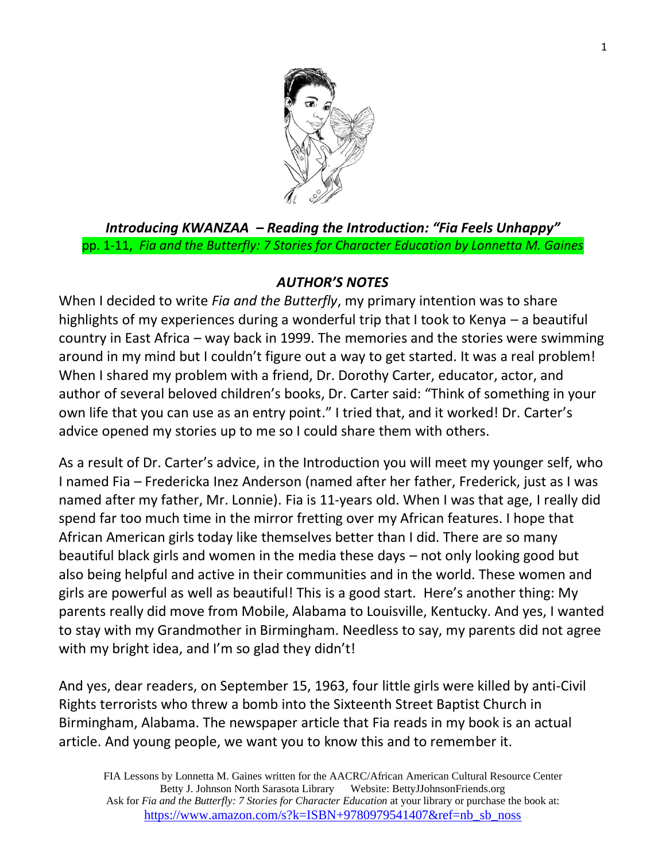

*Introducing KWANZAA – Reading the Introduction: "Fia Feels Unhappy"* pp. 1-11, *Fia and the Butterfly: 7 Stories for Character Education by Lonnetta M. Gaines*

#### *AUTHOR'S NOTES*

When I decided to write *Fia and the Butterfly*, my primary intention was to share highlights of my experiences during a wonderful trip that I took to Kenya – a beautiful country in East Africa – way back in 1999. The memories and the stories were swimming around in my mind but I couldn't figure out a way to get started. It was a real problem! When I shared my problem with a friend, Dr. Dorothy Carter, educator, actor, and author of several beloved children's books, Dr. Carter said: "Think of something in your own life that you can use as an entry point." I tried that, and it worked! Dr. Carter's advice opened my stories up to me so I could share them with others.

As a result of Dr. Carter's advice, in the Introduction you will meet my younger self, who I named Fia – Fredericka Inez Anderson (named after her father, Frederick, just as I was named after my father, Mr. Lonnie). Fia is 11-years old. When I was that age, I really did spend far too much time in the mirror fretting over my African features. I hope that African American girls today like themselves better than I did. There are so many beautiful black girls and women in the media these days – not only looking good but also being helpful and active in their communities and in the world. These women and girls are powerful as well as beautiful! This is a good start. Here's another thing: My parents really did move from Mobile, Alabama to Louisville, Kentucky. And yes, I wanted to stay with my Grandmother in Birmingham. Needless to say, my parents did not agree with my bright idea, and I'm so glad they didn't!

And yes, dear readers, on September 15, 1963, four little girls were killed by anti-Civil Rights terrorists who threw a bomb into the Sixteenth Street Baptist Church in Birmingham, Alabama. The newspaper article that Fia reads in my book is an actual article. And young people, we want you to know this and to remember it.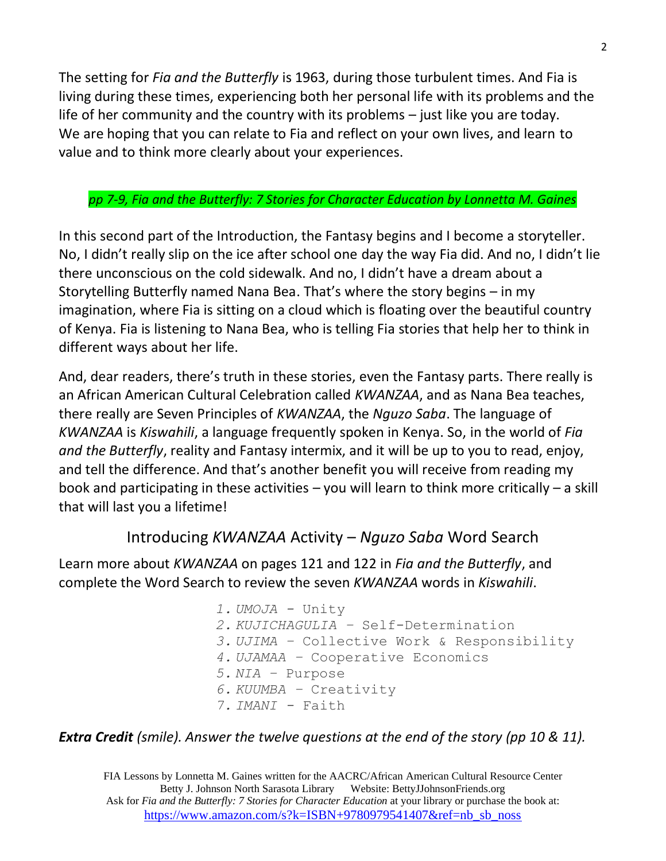The setting for *Fia and the Butterfly* is 1963, during those turbulent times. And Fia is living during these times, experiencing both her personal life with its problems and the life of her community and the country with its problems – just like you are today. We are hoping that you can relate to Fia and reflect on your own lives, and learn to value and to think more clearly about your experiences.

#### *pp 7-9, Fia and the Butterfly: 7 Stories for Character Education by Lonnetta M. Gaines*

In this second part of the Introduction, the Fantasy begins and I become a storyteller. No, I didn't really slip on the ice after school one day the way Fia did. And no, I didn't lie there unconscious on the cold sidewalk. And no, I didn't have a dream about a Storytelling Butterfly named Nana Bea. That's where the story begins – in my imagination, where Fia is sitting on a cloud which is floating over the beautiful country of Kenya. Fia is listening to Nana Bea, who is telling Fia stories that help her to think in different ways about her life.

And, dear readers, there's truth in these stories, even the Fantasy parts. There really is an African American Cultural Celebration called *KWANZAA*, and as Nana Bea teaches, there really are Seven Principles of *KWANZAA*, the *Nguzo Saba*. The language of *KWANZAA* is *Kiswahili*, a language frequently spoken in Kenya. So, in the world of *Fia and the Butterfly*, reality and Fantasy intermix, and it will be up to you to read, enjoy, and tell the difference. And that's another benefit you will receive from reading my book and participating in these activities – you will learn to think more critically – a skill that will last you a lifetime!

### Introducing *KWANZAA* Activity – *Nguzo Saba* Word Search

Learn more about *KWANZAA* on pages 121 and 122 in *Fia and the Butterfly*, and complete the Word Search to review the seven *KWANZAA* words in *Kiswahili*.

- *1. UMOJA -* Unity
- *2. KUJICHAGULIA –* Self-Determination
- *3. UJIMA –* Collective Work & Responsibility
- *4. UJAMAA –* Cooperative Economics
- *5. NIA –* Purpose
- *6. KUUMBA –* Creativity
- *7. IMANI -* Faith

#### *Extra Credit (smile). Answer the twelve questions at the end of the story (pp 10 & 11).*

FIA Lessons by Lonnetta M. Gaines written for the AACRC/African American Cultural Resource Center Betty J. Johnson North Sarasota Library Website: BettyJJohnsonFriends.org Ask for *Fia and the Butterfly: 7 Stories for Character Education* at your library or purchase the book at: [https://www.amazon.com/s?k=ISBN+9780979541407&ref=nb\\_sb\\_noss](https://www.amazon.com/s?k=ISBN+9780979541407&ref=nb_sb_noss)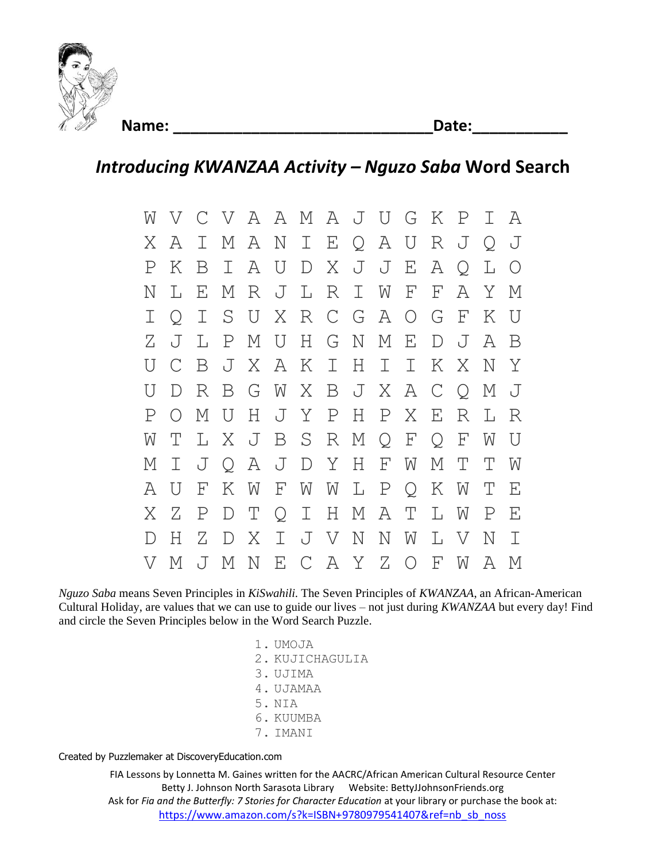

**Name: \_\_\_\_\_\_\_\_\_\_\_\_\_\_\_\_\_\_\_\_\_\_\_\_\_\_\_\_\_\_Date:\_\_\_\_\_\_\_\_\_\_\_**

## *Introducing KWANZAA Activity – Nguzo Saba* **Word Search**

W V C V A A M A J U G K P I A X A I M A N I E Q A U R J Q J P K B I A U D X J J E A Q L O N L E M R J L R I W F F A Y M I Q I S U X R C G A O G F K U Z J L P M U H G N M E D J A B U C B J X A K I H I I K X N Y U D R B G W X B J X A C Q M J P O M U H J Y P H P X E R L R W T L X J B S R M Q F Q F W U M I J Q A J D Y H F W M T T W A U F K W F W W L P Q K W T E X Z P D T Q I H M A T L W P E D H Z D X I J V N N W L V N I V M J M N E C A Y Z O F W A M

*Nguzo Saba* means Seven Principles in *KiSwahili*. The Seven Principles of *KWANZAA*, an African-American Cultural Holiday, are values that we can use to guide our lives – not just during *KWANZAA* but every day! Find and circle the Seven Principles below in the Word Search Puzzle.

> 1. UMOJA 2. KUJICHAGULIA 3. UJIMA 4. UJAMAA 5. NIA 6. KUUMBA 7. IMANI

Created by [Puzzlemaker](http://puzzlemaker.discoveryeducation.com/) at DiscoveryEducation.com

FIA Lessons by Lonnetta M. Gaines written for the AACRC/African American Cultural Resource Center Betty J. Johnson North Sarasota Library Website: BettyJJohnsonFriends.org Ask for *Fia and the Butterfly: 7 Stories for Character Education* at your library or purchase the book at: [https://www.amazon.com/s?k=ISBN+9780979541407&ref=nb\\_sb\\_noss](https://www.amazon.com/s?k=ISBN+9780979541407&ref=nb_sb_noss)